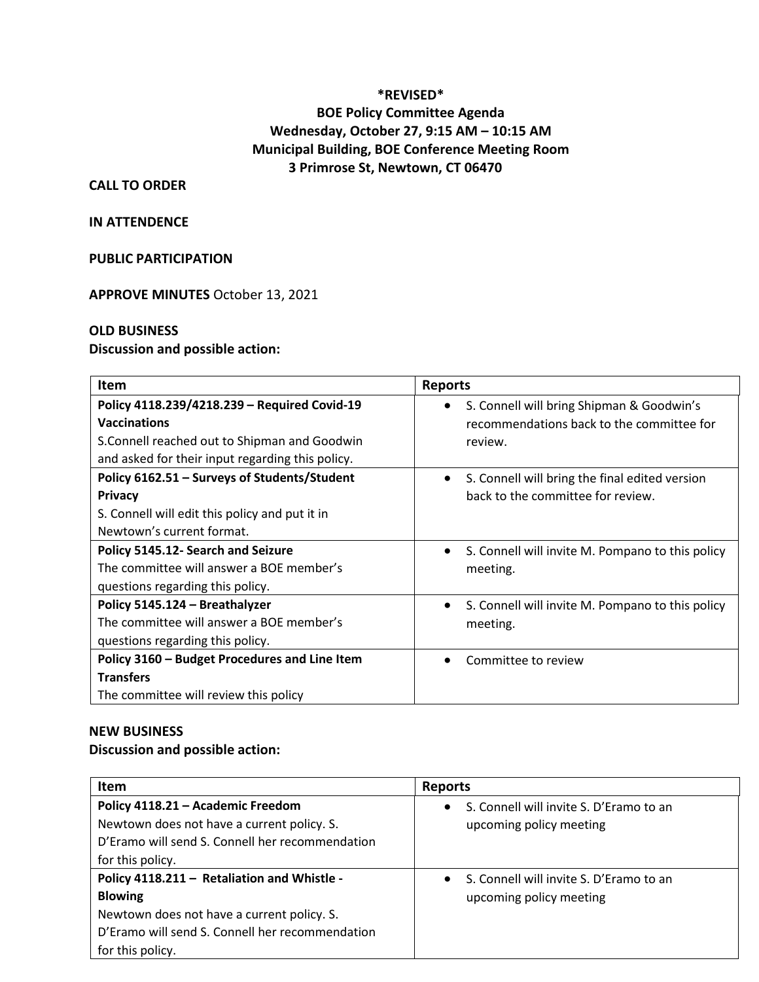## **\*REVISED\* BOE Policy Committee Agenda Wednesday, October 27, 9:15 AM – 10:15 AM Municipal Building, BOE Conference Meeting Room 3 Primrose St, Newtown, CT 06470**

### **CALL TO ORDER**

#### **IN ATTENDENCE**

#### **PUBLIC PARTICIPATION**

**APPROVE MINUTES** October 13, 2021

#### **OLD BUSINESS**

#### **Discussion and possible action:**

| <b>Item</b>                                                                                                                                                              | <b>Reports</b>                                                                                    |
|--------------------------------------------------------------------------------------------------------------------------------------------------------------------------|---------------------------------------------------------------------------------------------------|
| Policy 4118.239/4218.239 - Required Covid-19<br><b>Vaccinations</b><br>S. Connell reached out to Shipman and Goodwin<br>and asked for their input regarding this policy. | S. Connell will bring Shipman & Goodwin's<br>recommendations back to the committee for<br>review. |
| Policy 6162.51 - Surveys of Students/Student<br><b>Privacy</b><br>S. Connell will edit this policy and put it in<br>Newtown's current format.                            | S. Connell will bring the final edited version<br>$\bullet$<br>back to the committee for review.  |
| Policy 5145.12- Search and Seizure<br>The committee will answer a BOE member's<br>questions regarding this policy.                                                       | S. Connell will invite M. Pompano to this policy<br>$\bullet$<br>meeting.                         |
| Policy 5145.124 - Breathalyzer<br>The committee will answer a BOE member's<br>questions regarding this policy.                                                           | S. Connell will invite M. Pompano to this policy<br>$\bullet$<br>meeting.                         |
| Policy 3160 - Budget Procedures and Line Item<br><b>Transfers</b><br>The committee will review this policy                                                               | Committee to review                                                                               |

#### **NEW BUSINESS**

**Discussion and possible action:**

| <b>Item</b>                                                                                                                                                                        | <b>Reports</b>                                                       |
|------------------------------------------------------------------------------------------------------------------------------------------------------------------------------------|----------------------------------------------------------------------|
| Policy 4118.21 - Academic Freedom<br>Newtown does not have a current policy. S.<br>D'Eramo will send S. Connell her recommendation<br>for this policy.                             | S. Connell will invite S. D'Eramo to an<br>upcoming policy meeting   |
| Policy 4118.211 - Retaliation and Whistle -<br><b>Blowing</b><br>Newtown does not have a current policy. S.<br>D'Eramo will send S. Connell her recommendation<br>for this policy. | • S. Connell will invite S. D'Eramo to an<br>upcoming policy meeting |